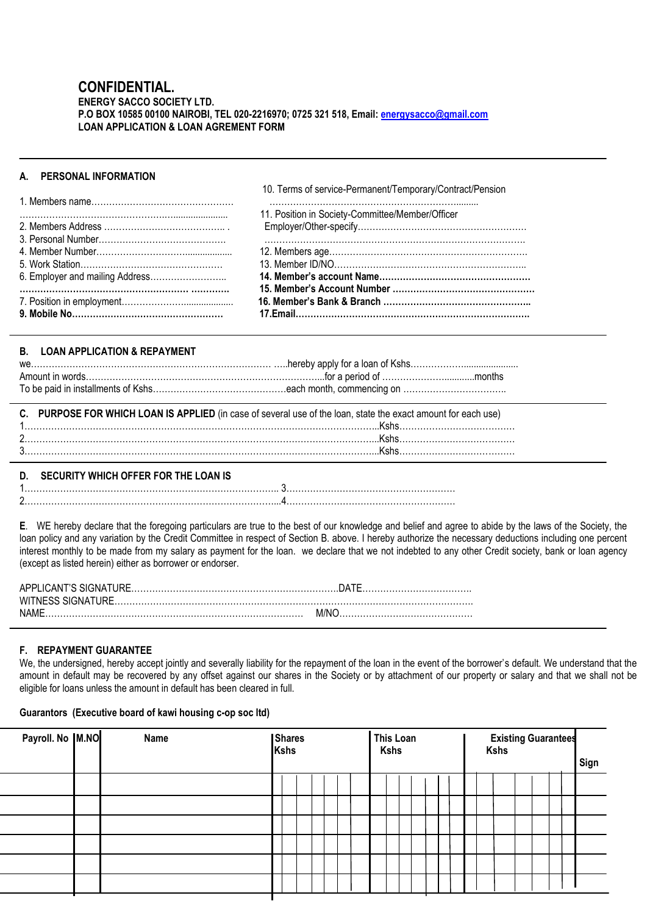## **CONFIDENTIAL. ENERGY SACCO SOCIETY LTD. P.O BOX 10585 00100 NAIROBI, TEL 020-2216970; 0725 321 518, Email[: energysacco@gmail.com](mailto:energysacco@gmail.com) LOAN APPLICATION & LOAN AGREMENT FORM**

# **A. PERSONAL INFORMATION**

10. Terms of service-Permanent/Temporary/Contract/Pension

ֺ֝֡

| 11. Position in Society-Committee/Member/Officer |
|--------------------------------------------------|
|                                                  |
|                                                  |
|                                                  |
|                                                  |
|                                                  |
|                                                  |
|                                                  |
|                                                  |
|                                                  |

## **B. LOAN APPLICATION & REPAYMENT**

| C. PURPOSE FOR WHICH LOAN IS APPLIED (in case of several use of the loan, state the exact amount for each use) |
|----------------------------------------------------------------------------------------------------------------|
|                                                                                                                |
|                                                                                                                |
|                                                                                                                |

## **D. SECURITY WHICH OFFER FOR THE LOAN IS**

1………………………………………………………………………….. 3………………………………………………… 2…………………………………………………………………………...4…………………………………………………

**E**. WE hereby declare that the foregoing particulars are true to the best of our knowledge and belief and agree to abide by the laws of the Society, the loan policy and any variation by the Credit Committee in respect of Section B. above. I hereby authorize the necessary deductions including one percent interest monthly to be made from my salary as payment for the loan. we declare that we not indebted to any other Credit society, bank or loan agency (except as listed herein) either as borrower or endorser.

| WITNESS SIGNATURE. |  |
|--------------------|--|
| NAME<br>M/NC       |  |

# **F. REPAYMENT GUARANTEE**

We, the undersigned, hereby accept jointly and severally liability for the repayment of the loan in the event of the borrower's default. We understand that the amount in default may be recovered by any offset against our shares in the Society or by attachment of our property or salary and that we shall not be eligible for loans unless the amount in default has been cleared in full.

## **Guarantors (Executive board of kawi housing c-op soc ltd)**

| Payroll. No M.NO | Name | <b>Shares</b><br>Kshs |  |  |  | This Loan<br><b>Kshs</b> |  |  |  |  |  |  | <b>Existing Guarantees</b><br>Kshs<br>Sign |  |  |  |  |  |
|------------------|------|-----------------------|--|--|--|--------------------------|--|--|--|--|--|--|--------------------------------------------|--|--|--|--|--|
|                  |      |                       |  |  |  |                          |  |  |  |  |  |  |                                            |  |  |  |  |  |
|                  |      |                       |  |  |  |                          |  |  |  |  |  |  |                                            |  |  |  |  |  |
|                  |      |                       |  |  |  |                          |  |  |  |  |  |  |                                            |  |  |  |  |  |
|                  |      |                       |  |  |  |                          |  |  |  |  |  |  |                                            |  |  |  |  |  |
|                  |      |                       |  |  |  |                          |  |  |  |  |  |  |                                            |  |  |  |  |  |
|                  |      |                       |  |  |  |                          |  |  |  |  |  |  |                                            |  |  |  |  |  |